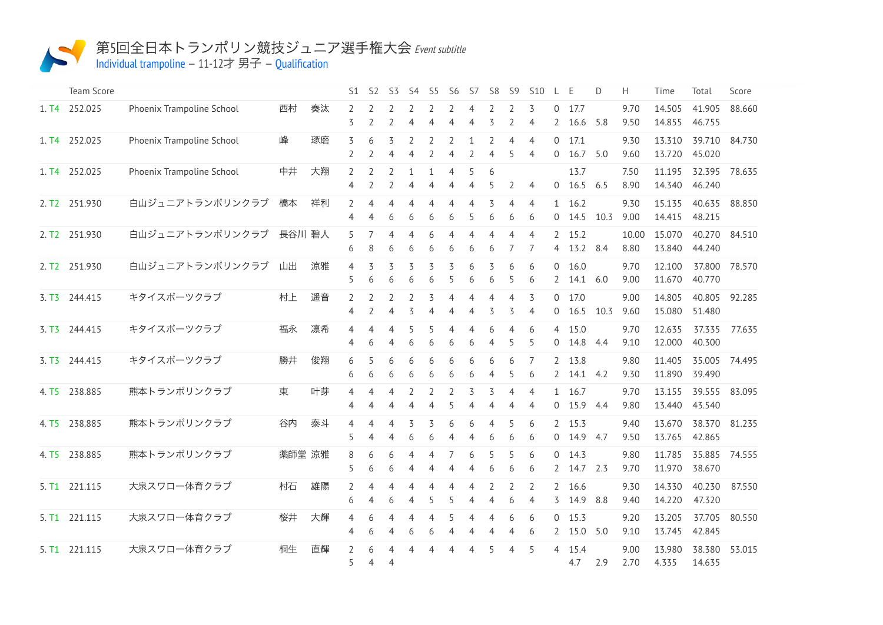

## 第5回全日本トランポリン競技ジュニア選手権大会 Event subtitle

Individual [trampoline](http://192.168.11.100:9001/event/TRA)  $-11-127 \nexists \mathcal{F} -$ [Qualification](http://192.168.11.100:9001/stages/5)

|                   | Team Score    |                           |        |    | S1                  | S <sub>2</sub>                   | S3                               | S4                  | S5                  | S6                               | S7                               | S <sub>8</sub>      | S9                  | <b>S10</b>                       | L                              | E                    | D    | H             | Time             | Total                   | Score  |
|-------------------|---------------|---------------------------|--------|----|---------------------|----------------------------------|----------------------------------|---------------------|---------------------|----------------------------------|----------------------------------|---------------------|---------------------|----------------------------------|--------------------------------|----------------------|------|---------------|------------------|-------------------------|--------|
| 1. T4             | 252.025       | Phoenix Trampoline School | 西村     | 奏汰 | 2<br>3              | $\overline{2}$                   | 2<br>2                           | 2<br>$\overline{4}$ | 2<br>$\overline{4}$ | 2<br>$\overline{4}$              | 4<br>$\overline{4}$              | 2<br>3              | 2<br>$\overline{2}$ | 3<br>$\overline{4}$              | $\Omega$<br>2                  | 17.7<br>16.6         | 5.8  | 9.70<br>9.50  | 14.505<br>14.855 | 41.905<br>46.755        | 88.660 |
| 1. T4             | 252.025       | Phoenix Trampoline School | 峰      | 琢磨 | 3<br>2              | 6<br>$\overline{2}$              | $\overline{4}$                   | 4                   | 2<br>$\overline{2}$ | 2<br>4                           | 1<br>$\overline{2}$              | 2<br>4              | $\overline{4}$<br>5 | $\overline{4}$<br>$\overline{4}$ | $\mathbf 0$<br>$\mathbf 0$     | 17.1<br>16.7         | 5.0  | 9.30<br>9.60  | 13.310<br>13.720 | 39.710<br>45.020        | 84.730 |
|                   | 1. T4 252.025 | Phoenix Trampoline School | 中井     | 大翔 | 2<br>4              | $\overline{2}$<br>$\overline{2}$ | $\overline{2}$<br>$\overline{2}$ | $\mathbf{1}$<br>4   | 4                   | $\overline{4}$<br>$\overline{4}$ | 5<br>$\overline{4}$              | 6<br>5              | $\overline{2}$      | $\overline{4}$                   |                                | 13.7<br>$0$ 16.5 6.5 |      | 7.50<br>8.90  | 11.195<br>14.340 | 32.395<br>46.240        | 78.635 |
| 2. T2             | 251.930       | 白山ジュニアトランポリンクラブ           | 橋本     | 祥利 | 2<br>4              | $\overline{4}$<br>$\overline{4}$ | $\overline{4}$<br>6              | $\overline{4}$<br>6 | $\overline{4}$<br>6 | $\overline{4}$<br>6              | $\overline{4}$<br>5              | 3<br>6              | $\overline{4}$<br>6 | $\overline{4}$<br>6              | $\mathbf{1}$<br>$\overline{0}$ | 16.2<br>14.5         | 10.3 | 9.30<br>9.00  | 15.135<br>14.415 | 40.635<br>48.215        | 88.850 |
| 2. T <sub>2</sub> | 251.930       | 白山ジュニアトランポリンクラブ           | 長谷川 碧人 |    | 5<br>6              | 7<br>8                           | $\overline{4}$<br>6              | 4<br>6              | 6<br>6              | $\overline{4}$<br>6              | $\overline{4}$<br>6              | 4<br>6              | $\overline{4}$<br>7 | $\overline{4}$<br>7              | 2<br>4                         | 15.2<br>13.2 8.4     |      | 10.00<br>8.80 | 15.070<br>13.840 | 40.270<br>44.240        | 84.510 |
|                   | 2. T2 251.930 | 白山ジュニアトランポリンクラブ           | 山出     | 涼雅 | 4<br>5              | 3<br>6                           | 3<br>6                           | 3<br>6              | 3<br>6              | 3<br>5                           | 6<br>6                           | 3<br>6              | 6<br>5              | 6<br>6                           | $\mathbf 0$<br>2               | 16.0<br>14.1         | 6.0  | 9.70<br>9.00  | 12.100<br>11.670 | 37.800<br>40.770        | 78.570 |
| 3. T <sub>3</sub> | 244.415       | キタイスポーツクラブ                | 村上     | 遥音 | 2<br>4              | $\overline{2}$<br>$\overline{2}$ | 2<br>$\overline{4}$              | 2<br>3              | 3<br>4              | $\overline{4}$<br>4              | $\overline{4}$<br>4              | 4<br>3              | $\overline{4}$<br>3 | 3<br>$\overline{4}$              | $\mathbf{0}$<br>0              | 17.0<br>16.5         | 10.3 | 9.00<br>9.60  | 14.805<br>15.080 | 40.805<br>51.480        | 92.285 |
| 3. T <sub>3</sub> | 244.415       | キタイスポーツクラブ                | 福永     | 凛希 | 4<br>$\overline{4}$ | $\overline{4}$<br>6              | 4<br>$\overline{4}$              | 5<br>6              | 5<br>6              | $\overline{4}$<br>6              | $\overline{4}$<br>6              | 6<br>$\overline{4}$ | $\overline{4}$<br>5 | 6<br>5                           | 4<br>$\mathbf 0$               | 15.0<br>14.8         | 4.4  | 9.70<br>9.10  | 12.635<br>12.000 | 37.335<br>40.300        | 77.635 |
| 3. T <sub>3</sub> | 244.415       | キタイスポーツクラブ                | 勝井     | 俊翔 | 6<br>6              | 5<br>6                           | 6<br>6                           | 6<br>6              | 6<br>6              | 6<br>6                           | 6<br>6                           | 6<br>4              | 6<br>5              | 7<br>6                           | 2<br>2                         | 13.8<br>14.1 4.2     |      | 9.80<br>9.30  | 11.405<br>11.890 | 35.005<br>39.490        | 74.495 |
| 4. T <sub>5</sub> | 238.885       | 熊本トランポリンクラブ               | 東      | 叶芽 | 4<br>4              | $\overline{4}$<br>$\overline{4}$ | $\overline{4}$<br>$\overline{4}$ | 2<br>$\overline{4}$ | 2<br>$\overline{4}$ | 2<br>5                           | 3<br>$\overline{4}$              | 3<br>4              | 4<br>4              | $\overline{4}$<br>$\overline{4}$ | $\overline{0}$                 | 1 16.7<br>15.9 4.4   |      | 9.70<br>9.80  | 13.155<br>13.440 | 39.555<br>43.540        | 83.095 |
| 4. T <sub>5</sub> | 238.885       | 熊本トランポリンクラブ               | 谷内     | 泰斗 | 4<br>5              | $\overline{4}$<br>$\overline{4}$ | $\overline{4}$<br>$\overline{4}$ | 3<br>6              | 3<br>6              | 6<br>4                           | 6<br>$\overline{4}$              | $\overline{4}$<br>6 | 5<br>6              | 6<br>6                           | 0                              | 2 15.3<br>14.9 4.7   |      | 9.40<br>9.50  | 13.670           | 38.370<br>13.765 42.865 | 81.235 |
| 4. T5             | 238.885       | 熊本トランポリンクラブ               | 薬師堂 涼雅 |    | 8<br>5              | 6<br>6                           | 6<br>6                           | 4<br>4              | 4<br>4              | $\overline{7}$<br>4              | 6<br>$\overline{4}$              | 5<br>6              | 5<br>6              | 6<br>6                           | $\Omega$<br>$\mathbf{2}$       | 14.3<br>14.7 2.3     |      | 9.80<br>9.70  | 11.785<br>11.970 | 35.885<br>38.670        | 74.555 |
| 5. T1             | 221.115       | 大泉スワロー体育クラブ               | 村石     | 雄陽 | 2<br>6              | $\overline{4}$<br>$\overline{4}$ | $\overline{4}$<br>6              | 4<br>4              | 4<br>5              | $\overline{4}$<br>5              | $\overline{4}$<br>$\overline{4}$ | 2<br>$\overline{4}$ | 2<br>6              | 2<br>$\overline{4}$              | 2<br>3                         | 16.6<br>14.9         | 8.8  | 9.30<br>9.40  | 14.330<br>14.220 | 40.230<br>47.320        | 87.550 |
| 5. T1             | 221.115       | 大泉スワロー体育クラブ               | 桜井     | 大輝 | 4<br>4              | 6<br>6                           | 4<br>4                           | 4<br>6              | 4<br>6              | 5<br>4                           | 4<br>4                           | 4<br>4              | 6<br>$\overline{4}$ | 6<br>6                           | $\overline{0}$<br>2            | 15.3<br>15.0         | 5.0  | 9.20<br>9.10  | 13.205<br>13.745 | 37.705<br>42.845        | 80.550 |
| 5. T1             | 221.115       | 大泉スワロー体育クラブ               | 桐生     | 直輝 | 2<br>5              | 6<br>$\overline{4}$              | 4<br>$\overline{4}$              | 4                   |                     | $\overline{4}$                   | $\overline{4}$                   | 5                   | 4                   | 5                                | $\overline{4}$                 | 15.4<br>4.7          | 2.9  | 9.00<br>2.70  | 13.980<br>4.335  | 38.380<br>14.635        | 53.015 |